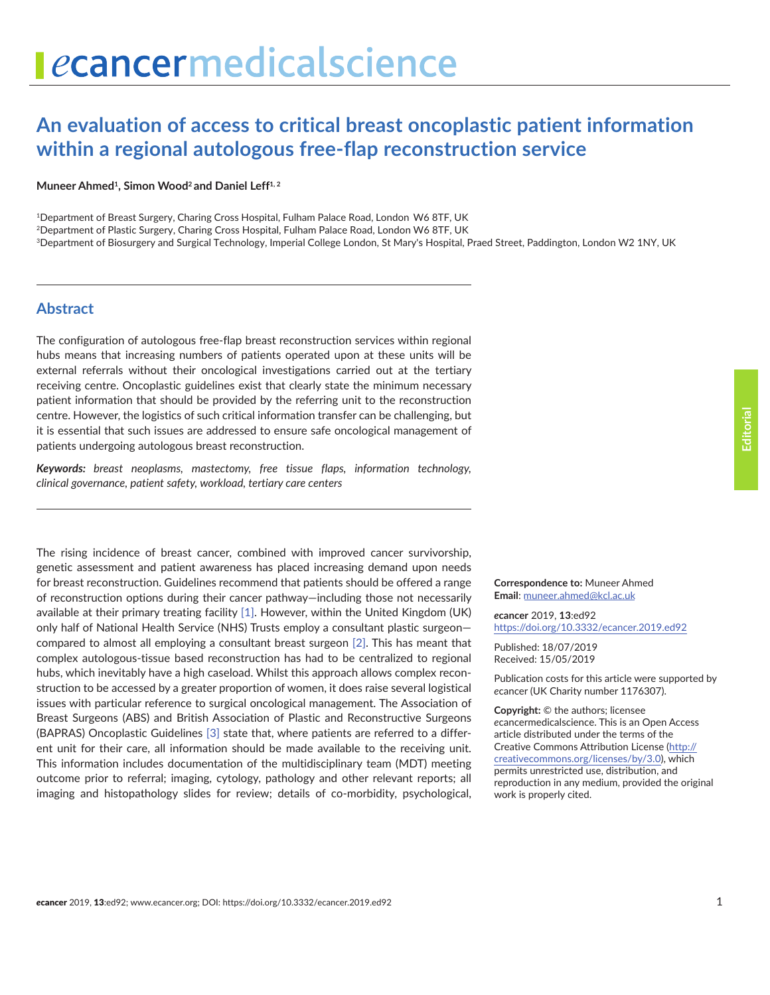# **An evaluation of access to critical breast oncoplastic patient information within a regional autologous free-flap reconstruction service**

Muneer Ahmed<sup>1</sup>, Simon Wood<sup>2</sup> and Daniel Leff<sup>1, 2</sup>

<sup>1</sup>Department of Breast Surgery, Charing Cross Hospital, Fulham Palace Road, London W6 8TF, UK

<sup>2</sup>Department of Plastic Surgery, Charing Cross Hospital, Fulham Palace Road, London W6 8TF, UK

<sup>3</sup>Department of Biosurgery and Surgical Technology, Imperial College London, St Mary's Hospital, Praed Street, Paddington, London W2 1NY, UK

#### **Abstract**

The configuration of autologous free-flap breast reconstruction services within regional hubs means that increasing numbers of patients operated upon at these units will be external referrals without their oncological investigations carried out at the tertiary receiving centre. Oncoplastic guidelines exist that clearly state the minimum necessary patient information that should be provided by the referring unit to the reconstruction centre. However, the logistics of such critical information transfer can be challenging, but it is essential that such issues are addressed to ensure safe oncological management of patients undergoing autologous breast reconstruction.

*Keywords: breast neoplasms, mastectomy, free tissue flaps, information technology, clinical governance, patient safety, workload, tertiary care centers*

The rising incidence of breast cancer, combined with improved cancer survivorship, genetic assessment and patient awareness has placed increasing demand upon needs for breast reconstruction. Guidelines recommend that patients should be offered a range of reconstruction options during their cancer pathway—including those not necessarily available at their primary treating facility [\[1\]](#page-2-0). However, within the United Kingdom (UK) only half of National Health Service (NHS) Trusts employ a consultant plastic surgeon compared to almost all employing a consultant breast surgeon [\[2\]](#page-2-0). This has meant that complex autologous-tissue based reconstruction has had to be centralized to regional hubs, which inevitably have a high caseload. Whilst this approach allows complex reconstruction to be accessed by a greater proportion of women, it does raise several logistical issues with particular reference to surgical oncological management. The Association of Breast Surgeons (ABS) and British Association of Plastic and Reconstructive Surgeons (BAPRAS) Oncoplastic Guidelines [\[3\]](#page-2-0) state that, where patients are referred to a different unit for their care, all information should be made available to the receiving unit. This information includes documentation of the multidisciplinary team (MDT) meeting outcome prior to referral; imaging, cytology, pathology and other relevant reports; all imaging and histopathology slides for review; details of co-morbidity, psychological,

**Correspondence to:** Muneer Ahmed **Email**: muneer.ahmed@kcl.ac.uk

*e***cancer** 2019, **13**:ed92 [https://doi.org/10.3332/ecancer.2019.](https://doi.org/10.3332/ecancer.2019.ed92)ed92

Published: 18/07/2019 Received: 15/05/2019

Publication costs for this article were supported by *e*cancer (UK Charity number 1176307).

**Copyright:** © the authors; licensee *e*cancermedicalscience. This is an Open Access article distributed under the terms of the Creative Commons Attribution License [\(http://](http://creativecommons.org/licenses/by/3.0) [creativecommons.org/licenses/by/3.0\)](http://creativecommons.org/licenses/by/3.0), which permits unrestricted use, distribution, and reproduction in any medium, provided the original work is properly cited.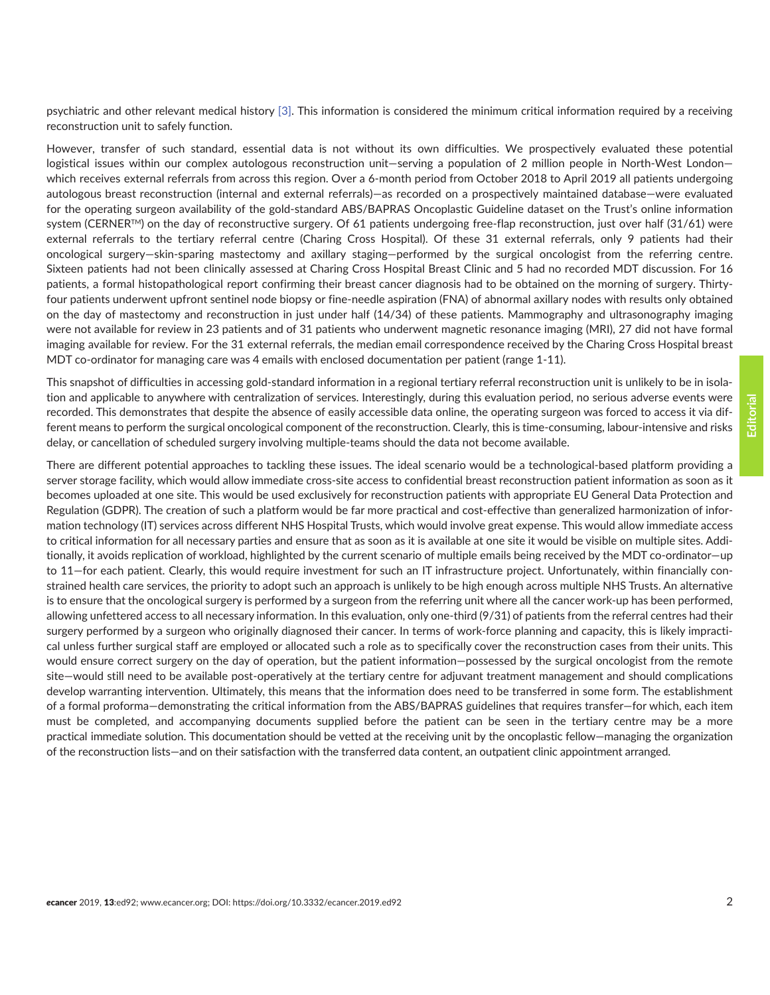psychiatric and other relevant medical history [\[3\].](#page-2-0) This information is considered the minimum critical information required by a receiving reconstruction unit to safely function.

However, transfer of such standard, essential data is not without its own difficulties. We prospectively evaluated these potential logistical issues within our complex autologous reconstruction unit—serving a population of 2 million people in North-West London which receives external referrals from across this region. Over a 6-month period from October 2018 to April 2019 all patients undergoing autologous breast reconstruction (internal and external referrals)—as recorded on a prospectively maintained database—were evaluated for the operating surgeon availability of the gold-standard ABS/BAPRAS Oncoplastic Guideline dataset on the Trust's online information system (CERNER<sup>TM</sup>) on the day of reconstructive surgery. Of 61 patients undergoing free-flap reconstruction, just over half (31/61) were external referrals to the tertiary referral centre (Charing Cross Hospital). Of these 31 external referrals, only 9 patients had their oncological surgery—skin-sparing mastectomy and axillary staging—performed by the surgical oncologist from the referring centre. Sixteen patients had not been clinically assessed at Charing Cross Hospital Breast Clinic and 5 had no recorded MDT discussion. For 16 patients, a formal histopathological report confirming their breast cancer diagnosis had to be obtained on the morning of surgery. Thirtyfour patients underwent upfront sentinel node biopsy or fine-needle aspiration (FNA) of abnormal axillary nodes with results only obtained on the day of mastectomy and reconstruction in just under half (14/34) of these patients. Mammography and ultrasonography imaging were not available for review in 23 patients and of 31 patients who underwent magnetic resonance imaging (MRI), 27 did not have formal imaging available for review. For the 31 external referrals, the median email correspondence received by the Charing Cross Hospital breast MDT co-ordinator for managing care was 4 emails with enclosed documentation per patient (range 1-11).

This snapshot of difficulties in accessing gold-standard information in a regional tertiary referral reconstruction unit is unlikely to be in isolation and applicable to anywhere with centralization of services. Interestingly, during this evaluation period, no serious adverse events were recorded. This demonstrates that despite the absence of easily accessible data online, the operating surgeon was forced to access it via different means to perform the surgical oncological component of the reconstruction. Clearly, this is time-consuming, labour-intensive and risks delay, or cancellation of scheduled surgery involving multiple-teams should the data not become available.

There are different potential approaches to tackling these issues. The ideal scenario would be a technological-based platform providing a server storage facility, which would allow immediate cross-site access to confidential breast reconstruction patient information as soon as it becomes uploaded at one site. This would be used exclusively for reconstruction patients with appropriate EU General Data Protection and Regulation (GDPR). The creation of such a platform would be far more practical and cost-effective than generalized harmonization of information technology (IT) services across different NHS Hospital Trusts, which would involve great expense. This would allow immediate access to critical information for all necessary parties and ensure that as soon as it is available at one site it would be visible on multiple sites. Additionally, it avoids replication of workload, highlighted by the current scenario of multiple emails being received by the MDT co-ordinator—up to 11—for each patient. Clearly, this would require investment for such an IT infrastructure project. Unfortunately, within financially constrained health care services, the priority to adopt such an approach is unlikely to be high enough across multiple NHS Trusts. An alternative is to ensure that the oncological surgery is performed by a surgeon from the referring unit where all the cancer work-up has been performed, allowing unfettered access to all necessary information. In this evaluation, only one-third (9/31) of patients from the referral centres had their surgery performed by a surgeon who originally diagnosed their cancer. In terms of work-force planning and capacity, this is likely impractical unless further surgical staff are employed or allocated such a role as to specifically cover the reconstruction cases from their units. This would ensure correct surgery on the day of operation, but the patient information—possessed by the surgical oncologist from the remote site—would still need to be available post-operatively at the tertiary centre for adjuvant treatment management and should complications develop warranting intervention. Ultimately, this means that the information does need to be transferred in some form. The establishment of a formal proforma—demonstrating the critical information from the ABS/BAPRAS guidelines that requires transfer—for which, each item must be completed, and accompanying documents supplied before the patient can be seen in the tertiary centre may be a more practical immediate solution. This documentation should be vetted at the receiving unit by the oncoplastic fellow—managing the organization of the reconstruction lists—and on their satisfaction with the transferred data content, an outpatient clinic appointment arranged.